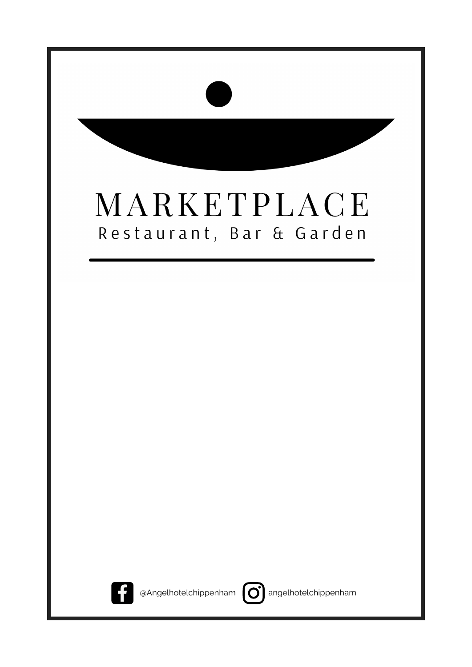